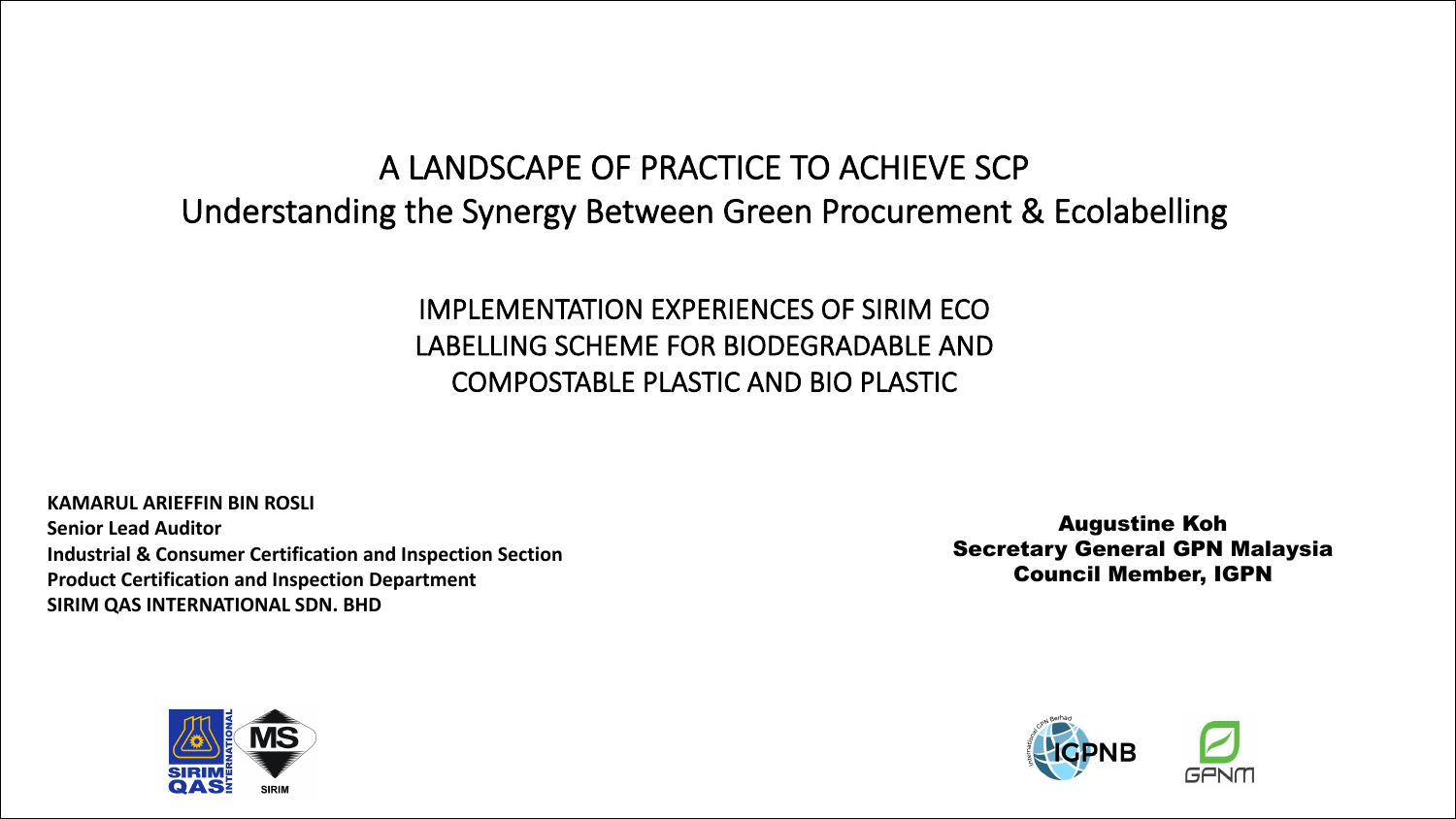### A LANDSCAPE OF PRACTICE TO ACHIEVE SCP Understanding the Synergy Between Green Procurement & Ecolabelling

#### IMPLEMENTATION EXPERIENCES OF SIRIM ECO LABELLING SCHEME FOR BIODEGRADABLE AND COMPOSTABLE PLASTIC AND BIO PLASTIC

**KAMARUL ARIEFFIN BIN ROSLI Senior Lead Auditor Industrial & Consumer Certification and Inspection Section Product Certification and Inspection Department SIRIM QAS INTERNATIONAL SDN. BHD**

Augustine Koh Secretary General GPN Malaysia Council Member, IGPN



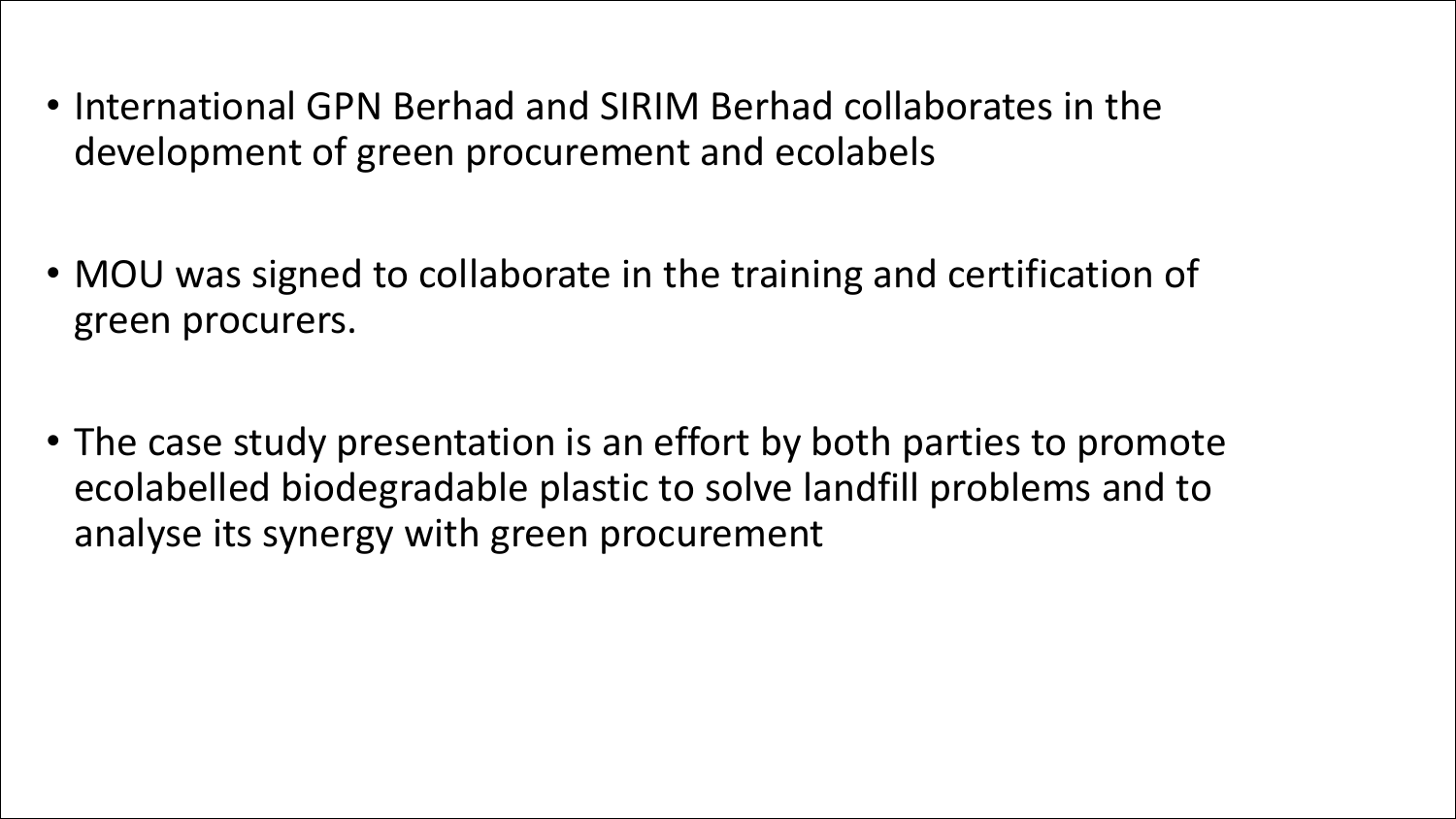- International GPN Berhad and SIRIM Berhad collaborates in the development of green procurement and ecolabels
- MOU was signed to collaborate in the training and certification of green procurers.
- The case study presentation is an effort by both parties to promote ecolabelled biodegradable plastic to solve landfill problems and to analyse its synergy with green procurement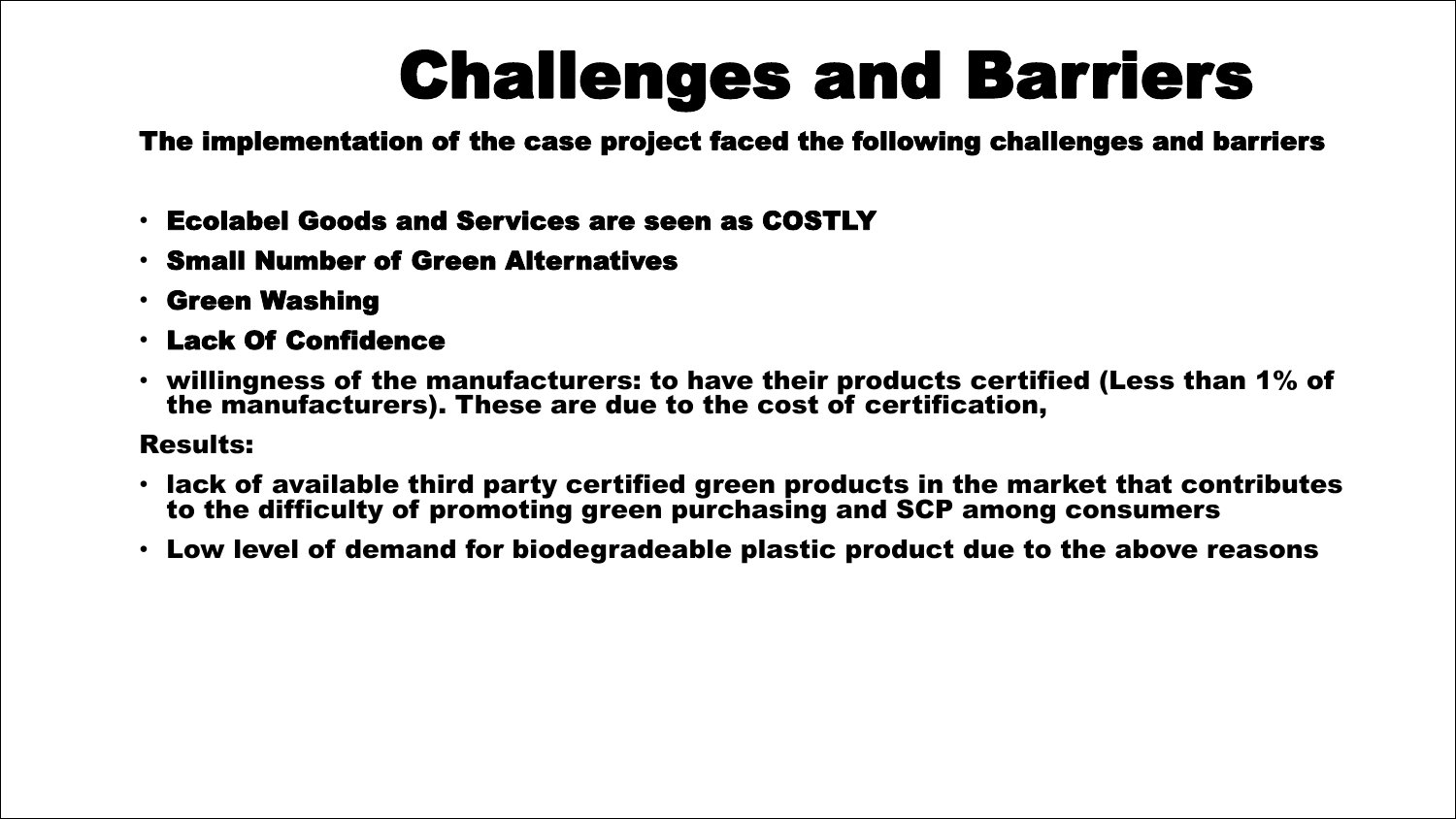# Challenges and Barriers

The implementation of the case project faced the following challenges and barriers

- Ecolabel Goods and Services are seen as COSTLY
- Small Number of Green Alternatives
- Green Washing
- Lack Of Confidence
- willingness of the manufacturers: to have their products certified (Less than 1% of the manufacturers). These are due to the cost of certification,

#### Results:

- lack of available third party certified green products in the market that contributes to the difficulty of promoting green purchasing and SCP among consumers
- Low level of demand for biodegradeable plastic product due to the above reasons